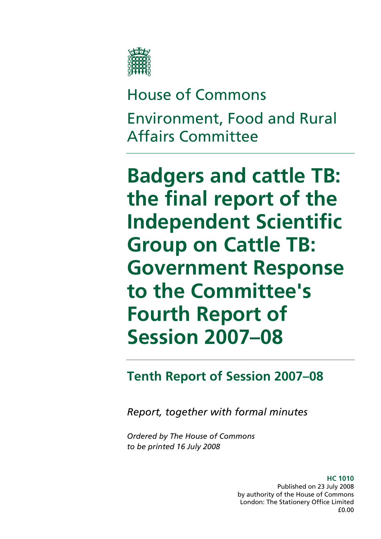

# House of Commons Environment, Food and Rural Affairs Committee

**Badgers and cattle TB: the final report of the Independent Scientific Group on Cattle TB: Government Response to the Committee's Fourth Report of Session 2007–08** 

**Tenth Report of Session 2007–08** 

*Report, together with formal minutes* 

*Ordered by The House of Commons to be printed 16 July 2008* 

> **HC 1010**  Published on 23 July 2008 by authority of the House of Commons London: The Stationery Office Limited £0.00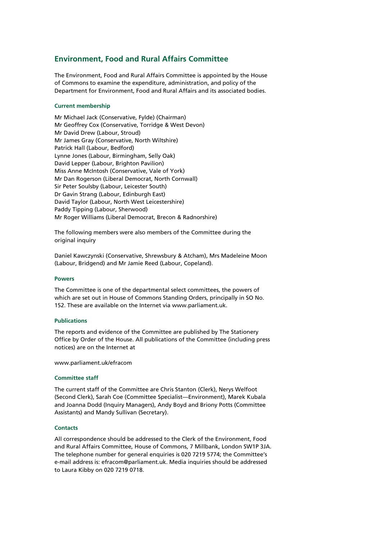#### **Environment, Food and Rural Affairs Committee**

The Environment, Food and Rural Affairs Committee is appointed by the House of Commons to examine the expenditure, administration, and policy of the Department for Environment, Food and Rural Affairs and its associated bodies.

#### **Current membership**

Mr Michael Jack (Conservative, Fylde) (Chairman) Mr Geoffrey Cox (Conservative, Torridge & West Devon) Mr David Drew (Labour, Stroud) Mr James Gray (Conservative, North Wiltshire) Patrick Hall (Labour, Bedford) Lynne Jones (Labour, Birmingham, Selly Oak) David Lepper (Labour, Brighton Pavilion) Miss Anne McIntosh (Conservative, Vale of York) Mr Dan Rogerson (Liberal Democrat, North Cornwall) Sir Peter Soulsby (Labour, Leicester South) Dr Gavin Strang (Labour, Edinburgh East) David Taylor (Labour, North West Leicestershire) Paddy Tipping (Labour, Sherwood) Mr Roger Williams (Liberal Democrat, Brecon & Radnorshire)

The following members were also members of the Committee during the original inquiry

Daniel Kawczynski (Conservative, Shrewsbury & Atcham), Mrs Madeleine Moon (Labour, Bridgend) and Mr Jamie Reed (Labour, Copeland).

#### **Powers**

The Committee is one of the departmental select committees, the powers of which are set out in House of Commons Standing Orders, principally in SO No. 152. These are available on the Internet via www.parliament.uk.

#### **Publications**

The reports and evidence of the Committee are published by The Stationery Office by Order of the House. All publications of the Committee (including press notices) are on the Internet at

www.parliament.uk/efracom

#### **Committee staff**

The current staff of the Committee are Chris Stanton (Clerk), Nerys Welfoot (Second Clerk), Sarah Coe (Committee Specialist—Environment), Marek Kubala and Joanna Dodd (Inquiry Managers), Andy Boyd and Briony Potts (Committee Assistants) and Mandy Sullivan (Secretary).

#### **Contacts**

All correspondence should be addressed to the Clerk of the Environment, Food and Rural Affairs Committee, House of Commons, 7 Millbank, London SW1P 3JA. The telephone number for general enquiries is 020 7219 5774; the Committee's e-mail address is: efracom@parliament.uk. Media inquiries should be addressed to Laura Kibby on 020 7219 0718.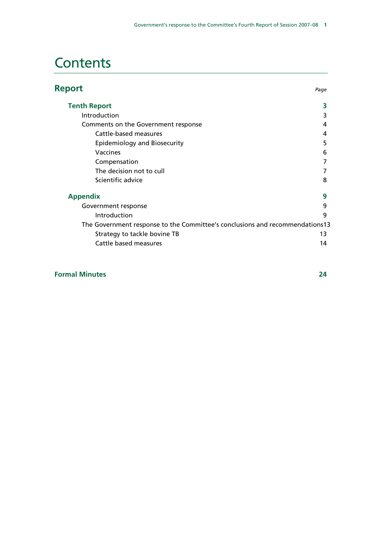# **Contents**

| <b>Report</b>                                                                | Page |
|------------------------------------------------------------------------------|------|
| <b>Tenth Report</b>                                                          | 3    |
| Introduction                                                                 | 3    |
| Comments on the Government response                                          | 4    |
| Cattle-based measures                                                        | 4    |
| Epidemiology and Biosecurity                                                 | 5    |
| Vaccines                                                                     | 6    |
| Compensation                                                                 |      |
| The decision not to cull                                                     |      |
| Scientific advice                                                            | 8    |
| <b>Appendix</b>                                                              | 9    |
| Government response                                                          | 9    |
| Introduction                                                                 | q    |
| The Government response to the Committee's conclusions and recommendations13 |      |
| Strategy to tackle bovine TB                                                 | 13   |
| Cattle based measures                                                        | 14   |

#### **Formal Minutes 24**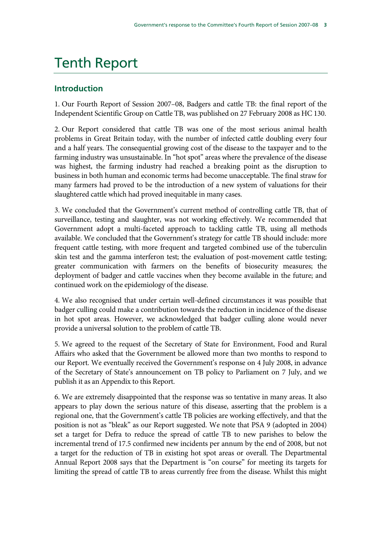# Tenth Report

# **Introduction**

1. Our Fourth Report of Session 2007–08, Badgers and cattle TB: the final report of the Independent Scientific Group on Cattle TB, was published on 27 February 2008 as HC 130.

2. Our Report considered that cattle TB was one of the most serious animal health problems in Great Britain today, with the number of infected cattle doubling every four and a half years. The consequential growing cost of the disease to the taxpayer and to the farming industry was unsustainable. In "hot spot" areas where the prevalence of the disease was highest, the farming industry had reached a breaking point as the disruption to business in both human and economic terms had become unacceptable. The final straw for many farmers had proved to be the introduction of a new system of valuations for their slaughtered cattle which had proved inequitable in many cases.

3. We concluded that the Government's current method of controlling cattle TB, that of surveillance, testing and slaughter, was not working effectively. We recommended that Government adopt a multi-faceted approach to tackling cattle TB, using all methods available. We concluded that the Government's strategy for cattle TB should include: more frequent cattle testing, with more frequent and targeted combined use of the tuberculin skin test and the gamma interferon test; the evaluation of post-movement cattle testing; greater communication with farmers on the benefits of biosecurity measures; the deployment of badger and cattle vaccines when they become available in the future; and continued work on the epidemiology of the disease.

4. We also recognised that under certain well-defined circumstances it was possible that badger culling could make a contribution towards the reduction in incidence of the disease in hot spot areas. However, we acknowledged that badger culling alone would never provide a universal solution to the problem of cattle TB.

5. We agreed to the request of the Secretary of State for Environment, Food and Rural Affairs who asked that the Government be allowed more than two months to respond to our Report. We eventually received the Government's response on 4 July 2008, in advance of the Secretary of State's announcement on TB policy to Parliament on 7 July, and we publish it as an Appendix to this Report.

6. We are extremely disappointed that the response was so tentative in many areas. It also appears to play down the serious nature of this disease, asserting that the problem is a regional one, that the Government's cattle TB policies are working effectively, and that the position is not as "bleak" as our Report suggested. We note that PSA 9 (adopted in 2004) set a target for Defra to reduce the spread of cattle TB to new parishes to below the incremental trend of 17.5 confirmed new incidents per annum by the end of 2008, but not a target for the reduction of TB in existing hot spot areas or overall. The Departmental Annual Report 2008 says that the Department is "on course" for meeting its targets for limiting the spread of cattle TB to areas currently free from the disease. Whilst this might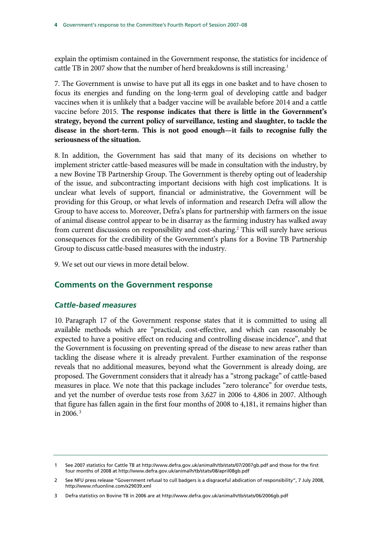explain the optimism contained in the Government response, the statistics for incidence of cattle TB in 2007 show that the number of herd breakdowns is still increasing.<sup>1</sup>

7. The Government is unwise to have put all its eggs in one basket and to have chosen to focus its energies and funding on the long-term goal of developing cattle and badger vaccines when it is unlikely that a badger vaccine will be available before 2014 and a cattle vaccine before 2015. **The response indicates that there is little in the Government's strategy, beyond the current policy of surveillance, testing and slaughter, to tackle the disease in the short-term. This is not good enough—it fails to recognise fully the seriousness of the situation.**

8. In addition, the Government has said that many of its decisions on whether to implement stricter cattle-based measures will be made in consultation with the industry, by a new Bovine TB Partnership Group. The Government is thereby opting out of leadership of the issue, and subcontracting important decisions with high cost implications. It is unclear what levels of support, financial or administrative, the Government will be providing for this Group, or what levels of information and research Defra will allow the Group to have access to. Moreover, Defra's plans for partnership with farmers on the issue of animal disease control appear to be in disarray as the farming industry has walked away from current discussions on responsibility and cost-sharing.<sup>2</sup> This will surely have serious consequences for the credibility of the Government's plans for a Bovine TB Partnership Group to discuss cattle-based measures with the industry.

9. We set out our views in more detail below.

#### **Comments on the Government response**

#### *Cattle-based measures*

10. Paragraph 17 of the Government response states that it is committed to using all available methods which are "practical, cost-effective, and which can reasonably be expected to have a positive effect on reducing and controlling disease incidence", and that the Government is focussing on preventing spread of the disease to new areas rather than tackling the disease where it is already prevalent. Further examination of the response reveals that no additional measures, beyond what the Government is already doing, are proposed. The Government considers that it already has a "strong package" of cattle-based measures in place. We note that this package includes "zero tolerance" for overdue tests, and yet the number of overdue tests rose from 3,627 in 2006 to 4,806 in 2007. Although that figure has fallen again in the first four months of 2008 to 4,181, it remains higher than in 2006. $3$ 

<sup>1</sup> See 2007 statistics for Cattle TB at http://www.defra.gov.uk/animalh/tb/stats/07/2007gb.pdf and those for the first four months of 2008 at http://www.defra.gov.uk/animalh/tb/stats/08/april08gb.pdf

<sup>2</sup> See NFU press release "Government refusal to cull badgers is a disgraceful abdication of responsibility", 7 July 2008, http://www.nfuonline.com/x29039.xml

<sup>3</sup> Defra statistics on Bovine TB in 2006 are at http://www.defra.gov.uk/animalh/tb/stats/06/2006gb.pdf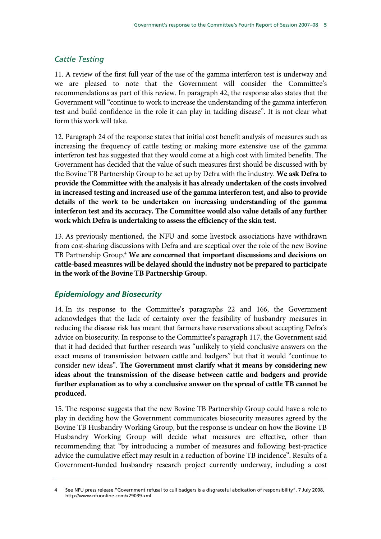### *Cattle Testing*

11. A review of the first full year of the use of the gamma interferon test is underway and we are pleased to note that the Government will consider the Committee's recommendations as part of this review. In paragraph 42, the response also states that the Government will "continue to work to increase the understanding of the gamma interferon test and build confidence in the role it can play in tackling disease". It is not clear what form this work will take.

12. Paragraph 24 of the response states that initial cost benefit analysis of measures such as increasing the frequency of cattle testing or making more extensive use of the gamma interferon test has suggested that they would come at a high cost with limited benefits. The Government has decided that the value of such measures first should be discussed with by the Bovine TB Partnership Group to be set up by Defra with the industry. **We ask Defra to provide the Committee with the analysis it has already undertaken of the costs involved in increased testing and increased use of the gamma interferon test, and also to provide details of the work to be undertaken on increasing understanding of the gamma interferon test and its accuracy. The Committee would also value details of any further work which Defra is undertaking to assess the efficiency of the skin test.**

13. As previously mentioned, the NFU and some livestock associations have withdrawn from cost-sharing discussions with Defra and are sceptical over the role of the new Bovine TB Partnership Group.<sup>4</sup> We are concerned that important discussions and decisions on **cattle-based measures will be delayed should the industry not be prepared to participate in the work of the Bovine TB Partnership Group.**

### *Epidemiology and Biosecurity*

14. In its response to the Committee's paragraphs 22 and 166, the Government acknowledges that the lack of certainty over the feasibility of husbandry measures in reducing the disease risk has meant that farmers have reservations about accepting Defra's advice on biosecurity. In response to the Committee's paragraph 117, the Government said that it had decided that further research was "unlikely to yield conclusive answers on the exact means of transmission between cattle and badgers" but that it would "continue to consider new ideas". **The Government must clarify what it means by considering new ideas about the transmission of the disease between cattle and badgers and provide further explanation as to why a conclusive answer on the spread of cattle TB cannot be produced.**

15. The response suggests that the new Bovine TB Partnership Group could have a role to play in deciding how the Government communicates biosecurity measures agreed by the Bovine TB Husbandry Working Group, but the response is unclear on how the Bovine TB Husbandry Working Group will decide what measures are effective, other than recommending that "by introducing a number of measures and following best-practice advice the cumulative effect may result in a reduction of bovine TB incidence". Results of a Government-funded husbandry research project currently underway, including a cost

See NFU press release "Government refusal to cull badgers is a disgraceful abdication of responsibility", 7 July 2008, http://www.nfuonline.com/x29039.xml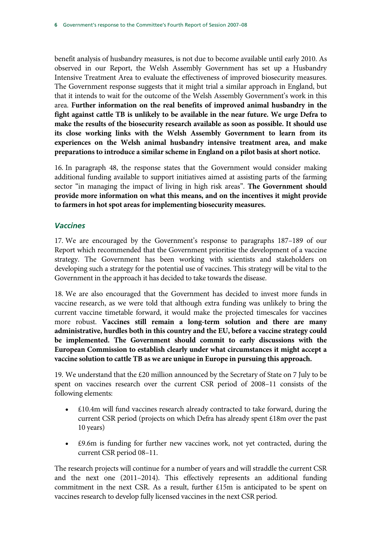benefit analysis of husbandry measures, is not due to become available until early 2010. As observed in our Report, the Welsh Assembly Government has set up a Husbandry Intensive Treatment Area to evaluate the effectiveness of improved biosecurity measures. The Government response suggests that it might trial a similar approach in England, but that it intends to wait for the outcome of the Welsh Assembly Government's work in this area. **Further information on the real benefits of improved animal husbandry in the fight against cattle TB is unlikely to be available in the near future. We urge Defra to make the results of the biosecurity research available as soon as possible. It should use its close working links with the Welsh Assembly Government to learn from its experiences on the Welsh animal husbandry intensive treatment area, and make preparations to introduce a similar scheme in England on a pilot basis at short notice.**

16. In paragraph 48, the response states that the Government would consider making additional funding available to support initiatives aimed at assisting parts of the farming sector "in managing the impact of living in high risk areas". **The Government should provide more information on what this means, and on the incentives it might provide to farmers in hot spot areas for implementing biosecurity measures.**

#### *Vaccines*

17. We are encouraged by the Government's response to paragraphs 187–189 of our Report which recommended that the Government prioritise the development of a vaccine strategy. The Government has been working with scientists and stakeholders on developing such a strategy for the potential use of vaccines. This strategy will be vital to the Government in the approach it has decided to take towards the disease.

18. We are also encouraged that the Government has decided to invest more funds in vaccine research, as we were told that although extra funding was unlikely to bring the current vaccine timetable forward, it would make the projected timescales for vaccines more robust. **Vaccines still remain a long-term solution and there are many administrative, hurdles both in this country and the EU, before a vaccine strategy could be implemented. The Government should commit to early discussions with the European Commission to establish clearly under what circumstances it might accept a vaccine solution to cattle TB as we are unique in Europe in pursuing this approach.**

19. We understand that the £20 million announced by the Secretary of State on 7 July to be spent on vaccines research over the current CSR period of 2008–11 consists of the following elements:

- £10.4m will fund vaccines research already contracted to take forward, during the current CSR period (projects on which Defra has already spent £18m over the past 10 years)
- £9.6m is funding for further new vaccines work, not yet contracted, during the current CSR period 08–11.

The research projects will continue for a number of years and will straddle the current CSR and the next one (2011–2014). This effectively represents an additional funding commitment in the next CSR. As a result, further £15m is anticipated to be spent on vaccines research to develop fully licensed vaccines in the next CSR period.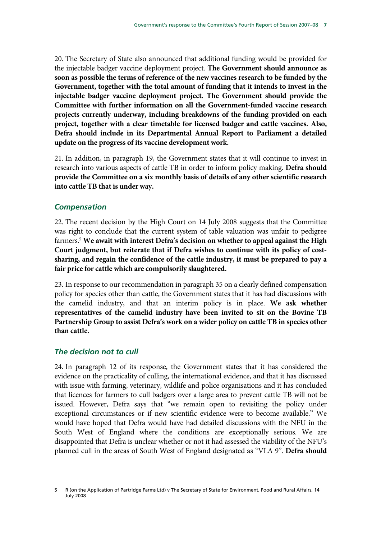20. The Secretary of State also announced that additional funding would be provided for the injectable badger vaccine deployment project. **The Government should announce as soon as possible the terms of reference of the new vaccines research to be funded by the Government, together with the total amount of funding that it intends to invest in the injectable badger vaccine deployment project. The Government should provide the Committee with further information on all the Government-funded vaccine research projects currently underway, including breakdowns of the funding provided on each project, together with a clear timetable for licensed badger and cattle vaccines. Also, Defra should include in its Departmental Annual Report to Parliament a detailed update on the progress of its vaccine development work.**

21. In addition, in paragraph 19, the Government states that it will continue to invest in research into various aspects of cattle TB in order to inform policy making. **Defra should provide the Committee on a six monthly basis of details of any other scientific research into cattle TB that is under way.**

#### *Compensation*

22. The recent decision by the High Court on 14 July 2008 suggests that the Committee was right to conclude that the current system of table valuation was unfair to pedigree farmers.5 **We await with interest Defra's decision on whether to appeal against the High Court judgment, but reiterate that if Defra wishes to continue with its policy of costsharing, and regain the confidence of the cattle industry, it must be prepared to pay a fair price for cattle which are compulsorily slaughtered.**

23. In response to our recommendation in paragraph 35 on a clearly defined compensation policy for species other than cattle, the Government states that it has had discussions with the camelid industry, and that an interim policy is in place. **We ask whether representatives of the camelid industry have been invited to sit on the Bovine TB Partnership Group to assist Defra's work on a wider policy on cattle TB in species other than cattle.** 

#### *The decision not to cull*

24. In paragraph 12 of its response, the Government states that it has considered the evidence on the practicality of culling, the international evidence, and that it has discussed with issue with farming, veterinary, wildlife and police organisations and it has concluded that licences for farmers to cull badgers over a large area to prevent cattle TB will not be issued. However, Defra says that "we remain open to revisiting the policy under exceptional circumstances or if new scientific evidence were to become available." We would have hoped that Defra would have had detailed discussions with the NFU in the South West of England where the conditions are exceptionally serious. We are disappointed that Defra is unclear whether or not it had assessed the viability of the NFU's planned cull in the areas of South West of England designated as "VLA 9". **Defra should** 

<sup>5</sup> R (on the Application of Partridge Farms Ltd) v The Secretary of State for Environment, Food and Rural Affairs, 14 July 2008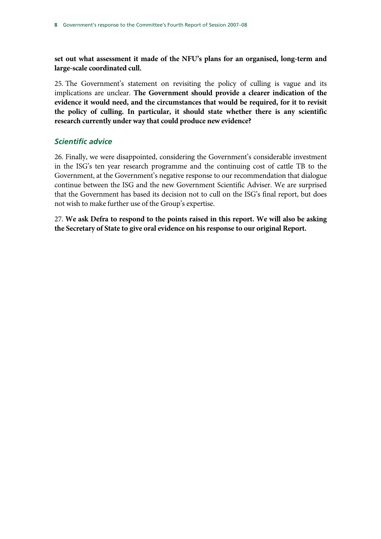**set out what assessment it made of the NFU's plans for an organised, long-term and large-scale coordinated cull.**

25. The Government's statement on revisiting the policy of culling is vague and its implications are unclear. **The Government should provide a clearer indication of the evidence it would need, and the circumstances that would be required, for it to revisit the policy of culling. In particular, it should state whether there is any scientific research currently under way that could produce new evidence?**

#### *Scientific advice*

26. Finally, we were disappointed, considering the Government's considerable investment in the ISG's ten year research programme and the continuing cost of cattle TB to the Government, at the Government's negative response to our recommendation that dialogue continue between the ISG and the new Government Scientific Adviser. We are surprised that the Government has based its decision not to cull on the ISG's final report, but does not wish to make further use of the Group's expertise.

27. **We ask Defra to respond to the points raised in this report. We will also be asking the Secretary of State to give oral evidence on his response to our original Report.**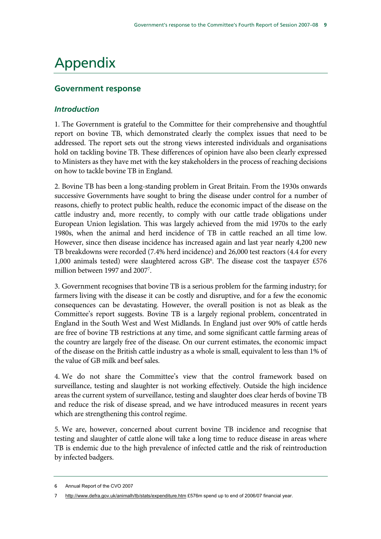# Appendix

# **Government response**

### *Introduction*

1. The Government is grateful to the Committee for their comprehensive and thoughtful report on bovine TB, which demonstrated clearly the complex issues that need to be addressed. The report sets out the strong views interested individuals and organisations hold on tackling bovine TB. These differences of opinion have also been clearly expressed to Ministers as they have met with the key stakeholders in the process of reaching decisions on how to tackle bovine TB in England.

2. Bovine TB has been a long-standing problem in Great Britain. From the 1930s onwards successive Governments have sought to bring the disease under control for a number of reasons, chiefly to protect public health, reduce the economic impact of the disease on the cattle industry and, more recently, to comply with our cattle trade obligations under European Union legislation. This was largely achieved from the mid 1970s to the early 1980s, when the animal and herd incidence of TB in cattle reached an all time low. However, since then disease incidence has increased again and last year nearly 4,200 new TB breakdowns were recorded (7.4% herd incidence) and 26,000 test reactors (4.4 for every 1,000 animals tested) were slaughtered across  $GB^6$ . The disease cost the taxpayer £576 million between 1997 and 2007<sup>7</sup>.

3. Government recognises that bovine TB is a serious problem for the farming industry; for farmers living with the disease it can be costly and disruptive, and for a few the economic consequences can be devastating. However, the overall position is not as bleak as the Committee's report suggests. Bovine TB is a largely regional problem, concentrated in England in the South West and West Midlands. In England just over 90% of cattle herds are free of bovine TB restrictions at any time, and some significant cattle farming areas of the country are largely free of the disease. On our current estimates, the economic impact of the disease on the British cattle industry as a whole is small, equivalent to less than 1% of the value of GB milk and beef sales.

4. We do not share the Committee's view that the control framework based on surveillance, testing and slaughter is not working effectively. Outside the high incidence areas the current system of surveillance, testing and slaughter does clear herds of bovine TB and reduce the risk of disease spread, and we have introduced measures in recent years which are strengthening this control regime.

5. We are, however, concerned about current bovine TB incidence and recognise that testing and slaughter of cattle alone will take a long time to reduce disease in areas where TB is endemic due to the high prevalence of infected cattle and the risk of reintroduction by infected badgers.

<sup>6</sup> Annual Report of the CVO 2007

http://www.defra.gov.uk/animalh/tb/stats/expenditure.htm £576m spend up to end of 2006/07 financial year.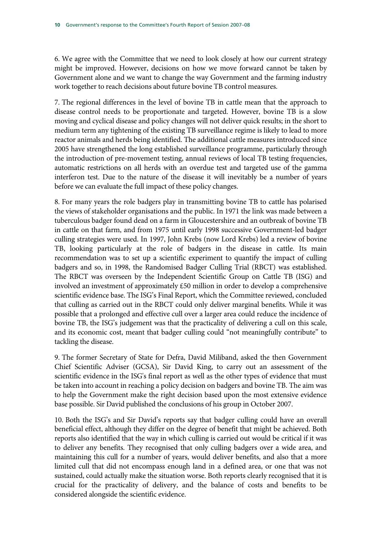6. We agree with the Committee that we need to look closely at how our current strategy might be improved. However, decisions on how we move forward cannot be taken by Government alone and we want to change the way Government and the farming industry work together to reach decisions about future bovine TB control measures.

7. The regional differences in the level of bovine TB in cattle mean that the approach to disease control needs to be proportionate and targeted. However, bovine TB is a slow moving and cyclical disease and policy changes will not deliver quick results; in the short to medium term any tightening of the existing TB surveillance regime is likely to lead to more reactor animals and herds being identified. The additional cattle measures introduced since 2005 have strengthened the long established surveillance programme, particularly through the introduction of pre-movement testing, annual reviews of local TB testing frequencies, automatic restrictions on all herds with an overdue test and targeted use of the gamma interferon test. Due to the nature of the disease it will inevitably be a number of years before we can evaluate the full impact of these policy changes.

8. For many years the role badgers play in transmitting bovine TB to cattle has polarised the views of stakeholder organisations and the public. In 1971 the link was made between a tuberculous badger found dead on a farm in Gloucestershire and an outbreak of bovine TB in cattle on that farm, and from 1975 until early 1998 successive Government-led badger culling strategies were used. In 1997, John Krebs (now Lord Krebs) led a review of bovine TB, looking particularly at the role of badgers in the disease in cattle. Its main recommendation was to set up a scientific experiment to quantify the impact of culling badgers and so, in 1998, the Randomised Badger Culling Trial (RBCT) was established. The RBCT was overseen by the Independent Scientific Group on Cattle TB (ISG) and involved an investment of approximately £50 million in order to develop a comprehensive scientific evidence base. The ISG's Final Report, which the Committee reviewed, concluded that culling as carried out in the RBCT could only deliver marginal benefits. While it was possible that a prolonged and effective cull over a larger area could reduce the incidence of bovine TB, the ISG's judgement was that the practicality of delivering a cull on this scale, and its economic cost, meant that badger culling could "not meaningfully contribute" to tackling the disease.

9. The former Secretary of State for Defra, David Miliband, asked the then Government Chief Scientific Adviser (GCSA), Sir David King, to carry out an assessment of the scientific evidence in the ISG's final report as well as the other types of evidence that must be taken into account in reaching a policy decision on badgers and bovine TB. The aim was to help the Government make the right decision based upon the most extensive evidence base possible. Sir David published the conclusions of his group in October 2007.

10. Both the ISG's and Sir David's reports say that badger culling could have an overall beneficial effect, although they differ on the degree of benefit that might be achieved. Both reports also identified that the way in which culling is carried out would be critical if it was to deliver any benefits. They recognised that only culling badgers over a wide area, and maintaining this cull for a number of years, would deliver benefits, and also that a more limited cull that did not encompass enough land in a defined area, or one that was not sustained, could actually make the situation worse. Both reports clearly recognised that it is crucial for the practicality of delivery, and the balance of costs and benefits to be considered alongside the scientific evidence.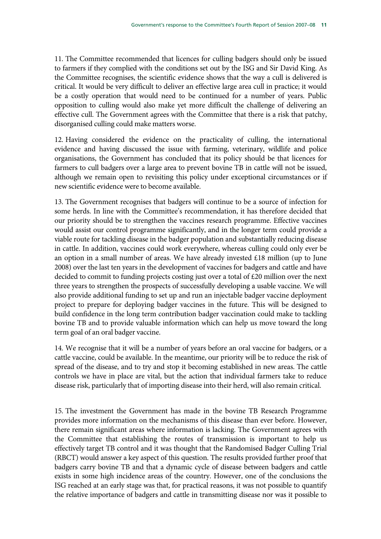11. The Committee recommended that licences for culling badgers should only be issued to farmers if they complied with the conditions set out by the ISG and Sir David King. As the Committee recognises, the scientific evidence shows that the way a cull is delivered is critical. It would be very difficult to deliver an effective large area cull in practice; it would be a costly operation that would need to be continued for a number of years. Public opposition to culling would also make yet more difficult the challenge of delivering an effective cull. The Government agrees with the Committee that there is a risk that patchy, disorganised culling could make matters worse.

12. Having considered the evidence on the practicality of culling, the international evidence and having discussed the issue with farming, veterinary, wildlife and police organisations, the Government has concluded that its policy should be that licences for farmers to cull badgers over a large area to prevent bovine TB in cattle will not be issued, although we remain open to revisiting this policy under exceptional circumstances or if new scientific evidence were to become available.

13. The Government recognises that badgers will continue to be a source of infection for some herds. In line with the Committee's recommendation, it has therefore decided that our priority should be to strengthen the vaccines research programme. Effective vaccines would assist our control programme significantly, and in the longer term could provide a viable route for tackling disease in the badger population and substantially reducing disease in cattle. In addition, vaccines could work everywhere, whereas culling could only ever be an option in a small number of areas. We have already invested £18 million (up to June 2008) over the last ten years in the development of vaccines for badgers and cattle and have decided to commit to funding projects costing just over a total of £20 million over the next three years to strengthen the prospects of successfully developing a usable vaccine. We will also provide additional funding to set up and run an injectable badger vaccine deployment project to prepare for deploying badger vaccines in the future. This will be designed to build confidence in the long term contribution badger vaccination could make to tackling bovine TB and to provide valuable information which can help us move toward the long term goal of an oral badger vaccine.

14. We recognise that it will be a number of years before an oral vaccine for badgers, or a cattle vaccine, could be available. In the meantime, our priority will be to reduce the risk of spread of the disease, and to try and stop it becoming established in new areas. The cattle controls we have in place are vital, but the action that individual farmers take to reduce disease risk, particularly that of importing disease into their herd, will also remain critical.

15. The investment the Government has made in the bovine TB Research Programme provides more information on the mechanisms of this disease than ever before. However, there remain significant areas where information is lacking. The Government agrees with the Committee that establishing the routes of transmission is important to help us effectively target TB control and it was thought that the Randomised Badger Culling Trial (RBCT) would answer a key aspect of this question. The results provided further proof that badgers carry bovine TB and that a dynamic cycle of disease between badgers and cattle exists in some high incidence areas of the country. However, one of the conclusions the ISG reached at an early stage was that, for practical reasons, it was not possible to quantify the relative importance of badgers and cattle in transmitting disease nor was it possible to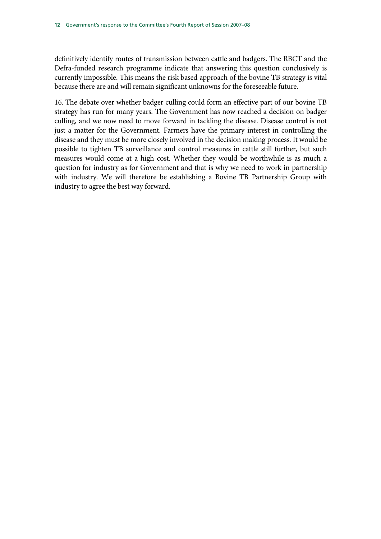definitively identify routes of transmission between cattle and badgers. The RBCT and the Defra-funded research programme indicate that answering this question conclusively is currently impossible. This means the risk based approach of the bovine TB strategy is vital because there are and will remain significant unknowns for the foreseeable future.

16. The debate over whether badger culling could form an effective part of our bovine TB strategy has run for many years. The Government has now reached a decision on badger culling, and we now need to move forward in tackling the disease. Disease control is not just a matter for the Government. Farmers have the primary interest in controlling the disease and they must be more closely involved in the decision making process. It would be possible to tighten TB surveillance and control measures in cattle still further, but such measures would come at a high cost. Whether they would be worthwhile is as much a question for industry as for Government and that is why we need to work in partnership with industry. We will therefore be establishing a Bovine TB Partnership Group with industry to agree the best way forward.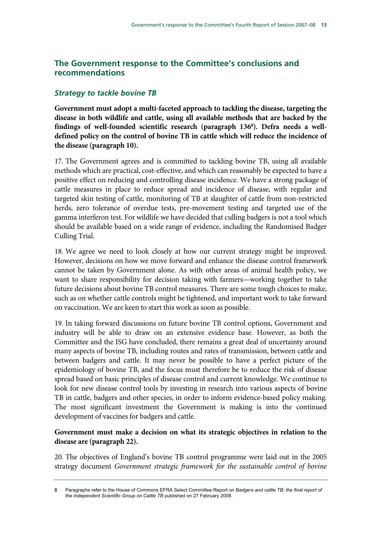# **The Government response to the Committee's conclusions and recommendations**

# *Strategy to tackle bovine TB*

**Government must adopt a multi-faceted approach to tackling the disease, targeting the disease in both wildlife and cattle, using all available methods that are backed by the findings of well-founded scientific research (paragraph 1368 ). Defra needs a welldefined policy on the control of bovine TB in cattle which will reduce the incidence of the disease (paragraph 10).** 

17. The Government agrees and is committed to tackling bovine TB, using all available methods which are practical, cost-effective, and which can reasonably be expected to have a positive effect on reducing and controlling disease incidence. We have a strong package of cattle measures in place to reduce spread and incidence of disease, with regular and targeted skin testing of cattle, monitoring of TB at slaughter of cattle from non-restricted herds, zero tolerance of overdue tests, pre-movement testing and targeted use of the gamma interferon test. For wildlife we have decided that culling badgers is not a tool which should be available based on a wide range of evidence, including the Randomised Badger Culling Trial.

18. We agree we need to look closely at how our current strategy might be improved. However, decisions on how we move forward and enhance the disease control framework cannot be taken by Government alone. As with other areas of animal health policy, we want to share responsibility for decision taking with farmers—working together to take future decisions about bovine TB control measures. There are some tough choices to make, such as on whether cattle controls might be tightened, and important work to take forward on vaccination. We are keen to start this work as soon as possible.

19. In taking forward discussions on future bovine TB control options, Government and industry will be able to draw on an extensive evidence base. However, as both the Committee and the ISG have concluded, there remains a great deal of uncertainty around many aspects of bovine TB, including routes and rates of transmission, between cattle and between badgers and cattle. It may never be possible to have a perfect picture of the epidemiology of bovine TB, and the focus must therefore be to reduce the risk of disease spread based on basic principles of disease control and current knowledge. We continue to look for new disease control tools by investing in research into various aspects of bovine TB in cattle, badgers and other species, in order to inform evidence-based policy making. The most significant investment the Government is making is into the continued development of vaccines for badgers and cattle.

### **Government must make a decision on what its strategic objectives in relation to the disease are (paragraph 22).**

20. The objectives of England's bovine TB control programme were laid out in the 2005 strategy document *Government strategic framework for the sustainable control of bovine* 

<sup>8</sup> Paragraphs refer to the House of Commons EFRA Select Committee Report on *Badgers and cattle TB: the final report of the Independent Scientific Group on Cattle TB* published on 27 February 2008.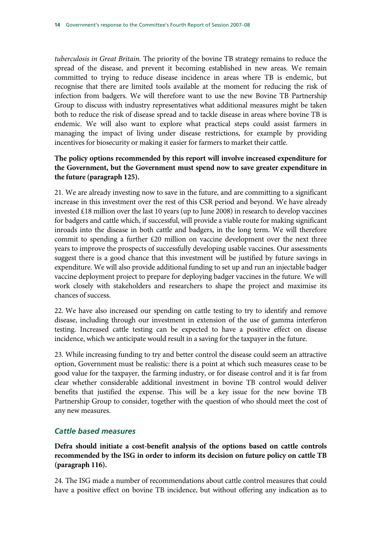*tuberculosis in Great Britain.* The priority of the bovine TB strategy remains to reduce the spread of the disease, and prevent it becoming established in new areas. We remain committed to trying to reduce disease incidence in areas where TB is endemic, but recognise that there are limited tools available at the moment for reducing the risk of infection from badgers. We will therefore want to use the new Bovine TB Partnership Group to discuss with industry representatives what additional measures might be taken both to reduce the risk of disease spread and to tackle disease in areas where bovine TB is endemic. We will also want to explore what practical steps could assist farmers in managing the impact of living under disease restrictions, for example by providing incentives for biosecurity or making it easier for farmers to market their cattle.

### **The policy options recommended by this report will involve increased expenditure for the Government, but the Government must spend now to save greater expenditure in the future (paragraph 125).**

21. We are already investing now to save in the future, and are committing to a significant increase in this investment over the rest of this CSR period and beyond. We have already invested £18 million over the last 10 years (up to June 2008) in research to develop vaccines for badgers and cattle which, if successful, will provide a viable route for making significant inroads into the disease in both cattle and badgers, in the long term. We will therefore commit to spending a further  $£20$  million on vaccine development over the next three years to improve the prospects of successfully developing usable vaccines. Our assessments suggest there is a good chance that this investment will be justified by future savings in expenditure. We will also provide additional funding to set up and run an injectable badger vaccine deployment project to prepare for deploying badger vaccines in the future. We will work closely with stakeholders and researchers to shape the project and maximise its chances of success.

22. We have also increased our spending on cattle testing to try to identify and remove disease, including through our investment in extension of the use of gamma interferon testing. Increased cattle testing can be expected to have a positive effect on disease incidence, which we anticipate would result in a saving for the taxpayer in the future.

23. While increasing funding to try and better control the disease could seem an attractive option, Government must be realistic: there is a point at which such measures cease to be good value for the taxpayer, the farming industry, or for disease control and it is far from clear whether considerable additional investment in bovine TB control would deliver benefits that justified the expense. This will be a key issue for the new bovine TB Partnership Group to consider, together with the question of who should meet the cost of any new measures.

### *Cattle based measures*

**Defra should initiate a cost-benefit analysis of the options based on cattle controls recommended by the ISG in order to inform its decision on future policy on cattle TB (paragraph 116).** 

24. The ISG made a number of recommendations about cattle control measures that could have a positive effect on bovine TB incidence, but without offering any indication as to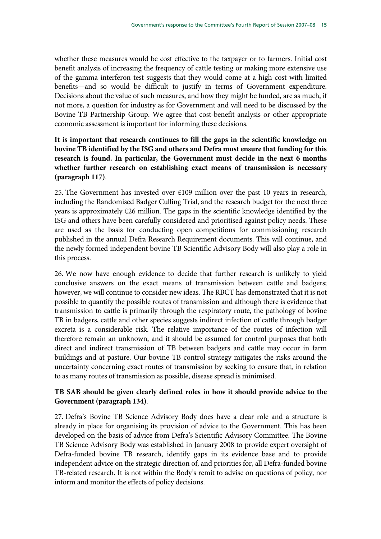whether these measures would be cost effective to the taxpayer or to farmers. Initial cost benefit analysis of increasing the frequency of cattle testing or making more extensive use of the gamma interferon test suggests that they would come at a high cost with limited benefits—and so would be difficult to justify in terms of Government expenditure. Decisions about the value of such measures, and how they might be funded, are as much, if not more, a question for industry as for Government and will need to be discussed by the Bovine TB Partnership Group. We agree that cost-benefit analysis or other appropriate economic assessment is important for informing these decisions.

## **It is important that research continues to fill the gaps in the scientific knowledge on bovine TB identified by the ISG and others and Defra must ensure that funding for this research is found. In particular, the Government must decide in the next 6 months whether further research on establishing exact means of transmission is necessary (paragraph 117)**.

25. The Government has invested over £109 million over the past 10 years in research, including the Randomised Badger Culling Trial, and the research budget for the next three years is approximately £26 million. The gaps in the scientific knowledge identified by the ISG and others have been carefully considered and prioritised against policy needs. These are used as the basis for conducting open competitions for commissioning research published in the annual Defra Research Requirement documents. This will continue, and the newly formed independent bovine TB Scientific Advisory Body will also play a role in this process.

26. We now have enough evidence to decide that further research is unlikely to yield conclusive answers on the exact means of transmission between cattle and badgers; however, we will continue to consider new ideas. The RBCT has demonstrated that it is not possible to quantify the possible routes of transmission and although there is evidence that transmission to cattle is primarily through the respiratory route, the pathology of bovine TB in badgers, cattle and other species suggests indirect infection of cattle through badger excreta is a considerable risk. The relative importance of the routes of infection will therefore remain an unknown, and it should be assumed for control purposes that both direct and indirect transmission of TB between badgers and cattle may occur in farm buildings and at pasture. Our bovine TB control strategy mitigates the risks around the uncertainty concerning exact routes of transmission by seeking to ensure that, in relation to as many routes of transmission as possible, disease spread is minimised.

## **TB SAB should be given clearly defined roles in how it should provide advice to the Government (paragraph 134)**.

27. Defra's Bovine TB Science Advisory Body does have a clear role and a structure is already in place for organising its provision of advice to the Government. This has been developed on the basis of advice from Defra's Scientific Advisory Committee. The Bovine TB Science Advisory Body was established in January 2008 to provide expert oversight of Defra-funded bovine TB research, identify gaps in its evidence base and to provide independent advice on the strategic direction of, and priorities for, all Defra-funded bovine TB-related research. It is not within the Body's remit to advise on questions of policy, nor inform and monitor the effects of policy decisions.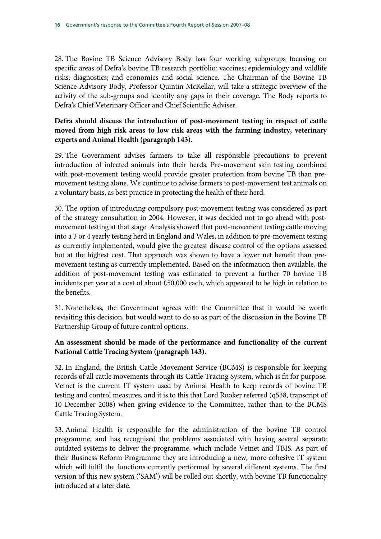28. The Bovine TB Science Advisory Body has four working subgroups focusing on specific areas of Defra's bovine TB research portfolio: vaccines; epidemiology and wildlife risks; diagnostics; and economics and social science. The Chairman of the Bovine TB Science Advisory Body, Professor Quintin McKellar, will take a strategic overview of the activity of the sub-groups and identify any gaps in their coverage. The Body reports to Defra's Chief Veterinary Officer and Chief Scientific Adviser.

### **Defra should discuss the introduction of post-movement testing in respect of cattle moved from high risk areas to low risk areas with the farming industry, veterinary experts and Animal Health (paragraph 143).**

29. The Government advises farmers to take all responsible precautions to prevent introduction of infected animals into their herds. Pre-movement skin testing combined with post-movement testing would provide greater protection from bovine TB than premovement testing alone. We continue to advise farmers to post-movement test animals on a voluntary basis, as best practice in protecting the health of their herd.

30. The option of introducing compulsory post-movement testing was considered as part of the strategy consultation in 2004. However, it was decided not to go ahead with postmovement testing at that stage. Analysis showed that post-movement testing cattle moving into a 3 or 4 yearly testing herd in England and Wales, in addition to pre-movement testing as currently implemented, would give the greatest disease control of the options assessed but at the highest cost. That approach was shown to have a lower net benefit than premovement testing as currently implemented. Based on the information then available, the addition of post-movement testing was estimated to prevent a further 70 bovine TB incidents per year at a cost of about £50,000 each, which appeared to be high in relation to the benefits.

31. Nonetheless, the Government agrees with the Committee that it would be worth revisiting this decision, but would want to do so as part of the discussion in the Bovine TB Partnership Group of future control options.

### **An assessment should be made of the performance and functionality of the current National Cattle Tracing System (paragraph 143).**

32. In England, the British Cattle Movement Service (BCMS) is responsible for keeping records of all cattle movements through its Cattle Tracing System, which is fit for purpose. Vetnet is the current IT system used by Animal Health to keep records of bovine TB testing and control measures, and it is to this that Lord Rooker referred (q538, transcript of 10 December 2008) when giving evidence to the Committee, rather than to the BCMS Cattle Tracing System.

33. Animal Health is responsible for the administration of the bovine TB control programme, and has recognised the problems associated with having several separate outdated systems to deliver the programme, which include Vetnet and TBIS. As part of their Business Reform Programme they are introducing a new, more cohesive IT system which will fulfil the functions currently performed by several different systems. The first version of this new system ('SAM') will be rolled out shortly, with bovine TB functionality introduced at a later date.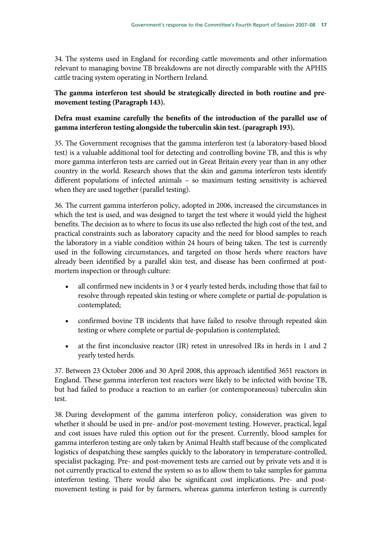34. The systems used in England for recording cattle movements and other information relevant to managing bovine TB breakdowns are not directly comparable with the APHIS cattle tracing system operating in Northern Ireland.

### **The gamma interferon test should be strategically directed in both routine and premovement testing (Paragraph 143).**

# **Defra must examine carefully the benefits of the introduction of the parallel use of gamma interferon testing alongside the tuberculin skin test. (paragraph 193).**

35. The Government recognises that the gamma interferon test (a laboratory-based blood test) is a valuable additional tool for detecting and controlling bovine TB, and this is why more gamma interferon tests are carried out in Great Britain every year than in any other country in the world. Research shows that the skin and gamma interferon tests identify different populations of infected animals – so maximum testing sensitivity is achieved when they are used together (parallel testing).

36. The current gamma interferon policy, adopted in 2006, increased the circumstances in which the test is used, and was designed to target the test where it would yield the highest benefits. The decision as to where to focus its use also reflected the high cost of the test, and practical constraints such as laboratory capacity and the need for blood samples to reach the laboratory in a viable condition within 24 hours of being taken. The test is currently used in the following circumstances, and targeted on those herds where reactors have already been identified by a parallel skin test, and disease has been confirmed at postmortem inspection or through culture:

- all confirmed new incidents in 3 or 4 yearly tested herds, including those that fail to resolve through repeated skin testing or where complete or partial de-population is contemplated;
- confirmed bovine TB incidents that have failed to resolve through repeated skin testing or where complete or partial de-population is contemplated;
- at the first inconclusive reactor (IR) retest in unresolved IRs in herds in 1 and 2 yearly tested herds.

37. Between 23 October 2006 and 30 April 2008, this approach identified 3651 reactors in England. These gamma interferon test reactors were likely to be infected with bovine TB, but had failed to produce a reaction to an earlier (or contemporaneous) tuberculin skin test.

38. During development of the gamma interferon policy, consideration was given to whether it should be used in pre- and/or post-movement testing. However, practical, legal and cost issues have ruled this option out for the present. Currently, blood samples for gamma interferon testing are only taken by Animal Health staff because of the complicated logistics of despatching these samples quickly to the laboratory in temperature-controlled, specialist packaging. Pre- and post-movement tests are carried out by private vets and it is not currently practical to extend the system so as to allow them to take samples for gamma interferon testing. There would also be significant cost implications. Pre- and postmovement testing is paid for by farmers, whereas gamma interferon testing is currently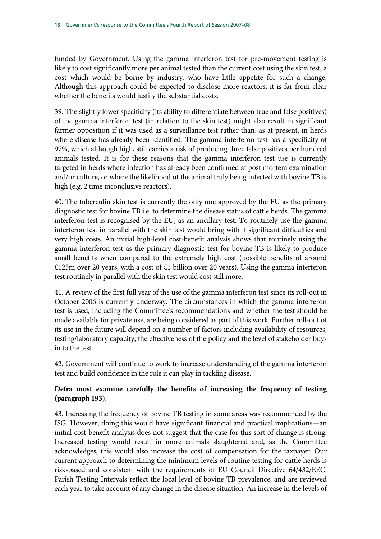funded by Government. Using the gamma interferon test for pre-movement testing is likely to cost significantly more per animal tested than the current cost using the skin test, a cost which would be borne by industry, who have little appetite for such a change. Although this approach could be expected to disclose more reactors, it is far from clear whether the benefits would justify the substantial costs.

39. The slightly lower specificity (its ability to differentiate between true and false positives) of the gamma interferon test (in relation to the skin test) might also result in significant farmer opposition if it was used as a surveillance test rather than, as at present, in herds where disease has already been identified. The gamma interferon test has a specificity of 97%, which although high, still carries a risk of producing three false positives per hundred animals tested. It is for these reasons that the gamma interferon test use is currently targeted in herds where infection has already been confirmed at post mortem examination and/or culture, or where the likelihood of the animal truly being infected with bovine TB is high (e.g. 2 time inconclusive reactors).

40. The tuberculin skin test is currently the only one approved by the EU as the primary diagnostic test for bovine TB i.e. to determine the disease status of cattle herds. The gamma interferon test is recognised by the EU, as an ancillary test. To routinely use the gamma interferon test in parallel with the skin test would bring with it significant difficulties and very high costs. An initial high-level cost-benefit analysis shows that routinely using the gamma interferon test as the primary diagnostic test for bovine TB is likely to produce small benefits when compared to the extremely high cost (possible benefits of around £125m over 20 years, with a cost of £1 billion over 20 years). Using the gamma interferon test routinely in parallel with the skin test would cost still more.

41. A review of the first full year of the use of the gamma interferon test since its roll-out in October 2006 is currently underway. The circumstances in which the gamma interferon test is used, including the Committee's recommendations and whether the test should be made available for private use, are being considered as part of this work. Further roll-out of its use in the future will depend on a number of factors including availability of resources, testing/laboratory capacity, the effectiveness of the policy and the level of stakeholder buyin to the test.

42. Government will continue to work to increase understanding of the gamma interferon test and build confidence in the role it can play in tackling disease.

### **Defra must examine carefully the benefits of increasing the frequency of testing (paragraph 193).**

43. Increasing the frequency of bovine TB testing in some areas was recommended by the ISG. However, doing this would have significant financial and practical implications—an initial cost-benefit analysis does not suggest that the case for this sort of change is strong. Increased testing would result in more animals slaughtered and, as the Committee acknowledges, this would also increase the cost of compensation for the taxpayer. Our current approach to determining the minimum levels of routine testing for cattle herds is risk-based and consistent with the requirements of EU Council Directive 64/432/EEC. Parish Testing Intervals reflect the local level of bovine TB prevalence, and are reviewed each year to take account of any change in the disease situation. An increase in the levels of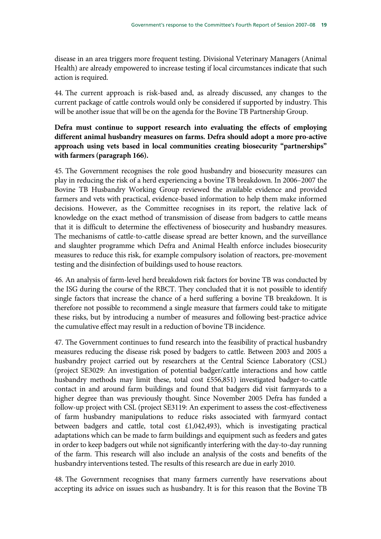disease in an area triggers more frequent testing. Divisional Veterinary Managers (Animal Health) are already empowered to increase testing if local circumstances indicate that such action is required.

44. The current approach is risk-based and, as already discussed, any changes to the current package of cattle controls would only be considered if supported by industry. This will be another issue that will be on the agenda for the Bovine TB Partnership Group.

#### **Defra must continue to support research into evaluating the effects of employing different animal husbandry measures on farms. Defra should adopt a more pro-active approach using vets based in local communities creating biosecurity "partnerships" with farmers (paragraph 166).**

45. The Government recognises the role good husbandry and biosecurity measures can play in reducing the risk of a herd experiencing a bovine TB breakdown. In 2006–2007 the Bovine TB Husbandry Working Group reviewed the available evidence and provided farmers and vets with practical, evidence-based information to help them make informed decisions. However, as the Committee recognises in its report, the relative lack of knowledge on the exact method of transmission of disease from badgers to cattle means that it is difficult to determine the effectiveness of biosecurity and husbandry measures. The mechanisms of cattle-to-cattle disease spread are better known, and the surveillance and slaughter programme which Defra and Animal Health enforce includes biosecurity measures to reduce this risk, for example compulsory isolation of reactors, pre-movement testing and the disinfection of buildings used to house reactors.

46. An analysis of farm-level herd breakdown risk factors for bovine TB was conducted by the ISG during the course of the RBCT. They concluded that it is not possible to identify single factors that increase the chance of a herd suffering a bovine TB breakdown. It is therefore not possible to recommend a single measure that farmers could take to mitigate these risks, but by introducing a number of measures and following best-practice advice the cumulative effect may result in a reduction of bovine TB incidence.

47. The Government continues to fund research into the feasibility of practical husbandry measures reducing the disease risk posed by badgers to cattle. Between 2003 and 2005 a husbandry project carried out by researchers at the Central Science Laboratory (CSL) (project SE3029: An investigation of potential badger/cattle interactions and how cattle husbandry methods may limit these, total cost £556,851) investigated badger-to-cattle contact in and around farm buildings and found that badgers did visit farmyards to a higher degree than was previously thought. Since November 2005 Defra has funded a follow-up project with CSL (project SE3119: An experiment to assess the cost-effectiveness of farm husbandry manipulations to reduce risks associated with farmyard contact between badgers and cattle, total cost £1,042,493), which is investigating practical adaptations which can be made to farm buildings and equipment such as feeders and gates in order to keep badgers out while not significantly interfering with the day-to-day running of the farm. This research will also include an analysis of the costs and benefits of the husbandry interventions tested. The results of this research are due in early 2010.

48. The Government recognises that many farmers currently have reservations about accepting its advice on issues such as husbandry. It is for this reason that the Bovine TB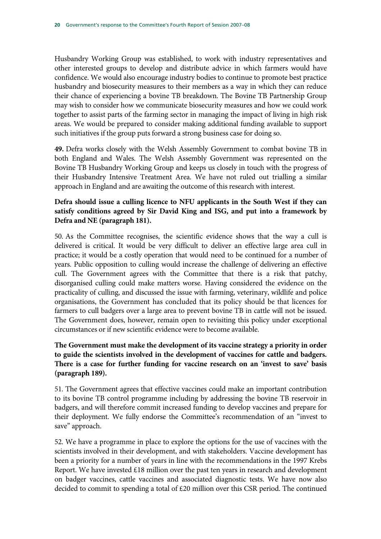Husbandry Working Group was established, to work with industry representatives and other interested groups to develop and distribute advice in which farmers would have confidence. We would also encourage industry bodies to continue to promote best practice husbandry and biosecurity measures to their members as a way in which they can reduce their chance of experiencing a bovine TB breakdown. The Bovine TB Partnership Group may wish to consider how we communicate biosecurity measures and how we could work together to assist parts of the farming sector in managing the impact of living in high risk areas. We would be prepared to consider making additional funding available to support such initiatives if the group puts forward a strong business case for doing so.

**49.** Defra works closely with the Welsh Assembly Government to combat bovine TB in both England and Wales. The Welsh Assembly Government was represented on the Bovine TB Husbandry Working Group and keeps us closely in touch with the progress of their Husbandry Intensive Treatment Area. We have not ruled out trialling a similar approach in England and are awaiting the outcome of this research with interest.

# **Defra should issue a culling licence to NFU applicants in the South West if they can satisfy conditions agreed by Sir David King and ISG, and put into a framework by Defra and NE (paragraph 181).**

50. As the Committee recognises, the scientific evidence shows that the way a cull is delivered is critical. It would be very difficult to deliver an effective large area cull in practice; it would be a costly operation that would need to be continued for a number of years. Public opposition to culling would increase the challenge of delivering an effective cull. The Government agrees with the Committee that there is a risk that patchy, disorganised culling could make matters worse. Having considered the evidence on the practicality of culling, and discussed the issue with farming, veterinary, wildlife and police organisations, the Government has concluded that its policy should be that licences for farmers to cull badgers over a large area to prevent bovine TB in cattle will not be issued. The Government does, however, remain open to revisiting this policy under exceptional circumstances or if new scientific evidence were to become available.

# **The Government must make the development of its vaccine strategy a priority in order to guide the scientists involved in the development of vaccines for cattle and badgers. There is a case for further funding for vaccine research on an 'invest to save' basis (paragraph 189).**

51. The Government agrees that effective vaccines could make an important contribution to its bovine TB control programme including by addressing the bovine TB reservoir in badgers, and will therefore commit increased funding to develop vaccines and prepare for their deployment. We fully endorse the Committee's recommendation of an "invest to save" approach.

52. We have a programme in place to explore the options for the use of vaccines with the scientists involved in their development, and with stakeholders. Vaccine development has been a priority for a number of years in line with the recommendations in the 1997 Krebs Report. We have invested £18 million over the past ten years in research and development on badger vaccines, cattle vaccines and associated diagnostic tests. We have now also decided to commit to spending a total of £20 million over this CSR period. The continued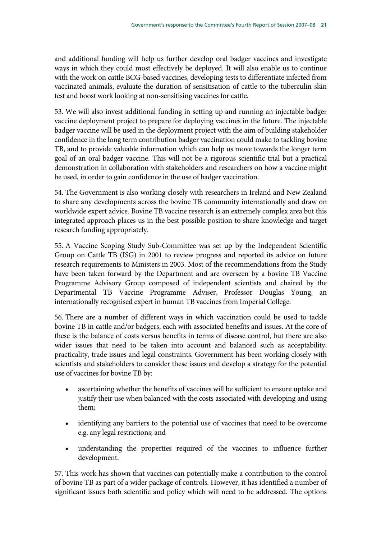and additional funding will help us further develop oral badger vaccines and investigate ways in which they could most effectively be deployed. It will also enable us to continue with the work on cattle BCG-based vaccines, developing tests to differentiate infected from vaccinated animals, evaluate the duration of sensitisation of cattle to the tuberculin skin test and boost work looking at non-sensitising vaccines for cattle.

53. We will also invest additional funding in setting up and running an injectable badger vaccine deployment project to prepare for deploying vaccines in the future. The injectable badger vaccine will be used in the deployment project with the aim of building stakeholder confidence in the long term contribution badger vaccination could make to tackling bovine TB, and to provide valuable information which can help us move towards the longer term goal of an oral badger vaccine. This will not be a rigorous scientific trial but a practical demonstration in collaboration with stakeholders and researchers on how a vaccine might be used, in order to gain confidence in the use of badger vaccination.

54. The Government is also working closely with researchers in Ireland and New Zealand to share any developments across the bovine TB community internationally and draw on worldwide expert advice. Bovine TB vaccine research is an extremely complex area but this integrated approach places us in the best possible position to share knowledge and target research funding appropriately.

55. A Vaccine Scoping Study Sub-Committee was set up by the Independent Scientific Group on Cattle TB (ISG) in 2001 to review progress and reported its advice on future research requirements to Ministers in 2003. Most of the recommendations from the Study have been taken forward by the Department and are overseen by a bovine TB Vaccine Programme Advisory Group composed of independent scientists and chaired by the Departmental TB Vaccine Programme Adviser, Professor Douglas Young, an internationally recognised expert in human TB vaccines from Imperial College.

56. There are a number of different ways in which vaccination could be used to tackle bovine TB in cattle and/or badgers, each with associated benefits and issues. At the core of these is the balance of costs versus benefits in terms of disease control, but there are also wider issues that need to be taken into account and balanced such as acceptability, practicality, trade issues and legal constraints. Government has been working closely with scientists and stakeholders to consider these issues and develop a strategy for the potential use of vaccines for bovine TB by:

- ascertaining whether the benefits of vaccines will be sufficient to ensure uptake and justify their use when balanced with the costs associated with developing and using them;
- identifying any barriers to the potential use of vaccines that need to be overcome e.g. any legal restrictions; and
- understanding the properties required of the vaccines to influence further development.

57. This work has shown that vaccines can potentially make a contribution to the control of bovine TB as part of a wider package of controls. However, it has identified a number of significant issues both scientific and policy which will need to be addressed. The options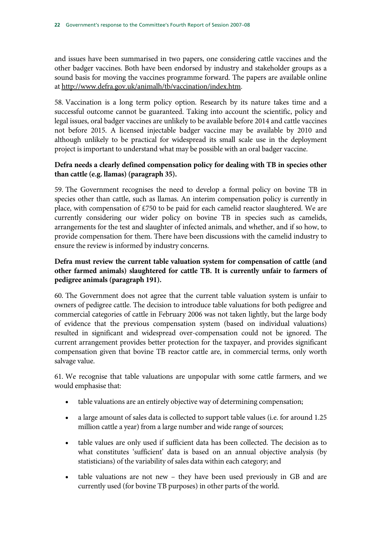and issues have been summarised in two papers, one considering cattle vaccines and the other badger vaccines. Both have been endorsed by industry and stakeholder groups as a sound basis for moving the vaccines programme forward. The papers are available online at http://www.defra.gov.uk/animalh/tb/vaccination/index.htm.

58. Vaccination is a long term policy option. Research by its nature takes time and a successful outcome cannot be guaranteed. Taking into account the scientific, policy and legal issues, oral badger vaccines are unlikely to be available before 2014 and cattle vaccines not before 2015. A licensed injectable badger vaccine may be available by 2010 and although unlikely to be practical for widespread its small scale use in the deployment project is important to understand what may be possible with an oral badger vaccine.

## **Defra needs a clearly defined compensation policy for dealing with TB in species other than cattle (e.g. llamas) (paragraph 35).**

59. The Government recognises the need to develop a formal policy on bovine TB in species other than cattle, such as llamas. An interim compensation policy is currently in place, with compensation of £750 to be paid for each camelid reactor slaughtered. We are currently considering our wider policy on bovine TB in species such as camelids, arrangements for the test and slaughter of infected animals, and whether, and if so how, to provide compensation for them. There have been discussions with the camelid industry to ensure the review is informed by industry concerns.

# **Defra must review the current table valuation system for compensation of cattle (and other farmed animals) slaughtered for cattle TB. It is currently unfair to farmers of pedigree animals (paragraph 191).**

60. The Government does not agree that the current table valuation system is unfair to owners of pedigree cattle. The decision to introduce table valuations for both pedigree and commercial categories of cattle in February 2006 was not taken lightly, but the large body of evidence that the previous compensation system (based on individual valuations) resulted in significant and widespread over-compensation could not be ignored. The current arrangement provides better protection for the taxpayer, and provides significant compensation given that bovine TB reactor cattle are, in commercial terms, only worth salvage value.

61. We recognise that table valuations are unpopular with some cattle farmers, and we would emphasise that:

- table valuations are an entirely objective way of determining compensation;
- a large amount of sales data is collected to support table values (i.e. for around 1.25 million cattle a year) from a large number and wide range of sources;
- table values are only used if sufficient data has been collected. The decision as to what constitutes 'sufficient' data is based on an annual objective analysis (by statisticians) of the variability of sales data within each category; and
- table valuations are not new they have been used previously in GB and are currently used (for bovine TB purposes) in other parts of the world.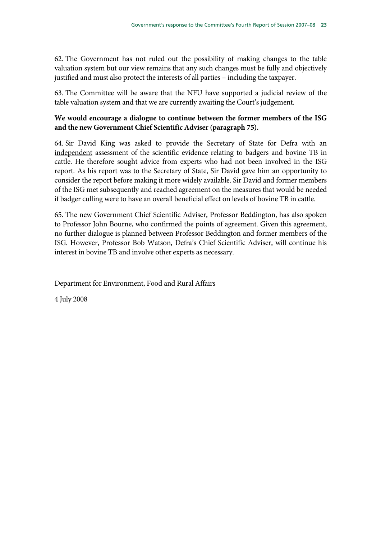62. The Government has not ruled out the possibility of making changes to the table valuation system but our view remains that any such changes must be fully and objectively justified and must also protect the interests of all parties – including the taxpayer.

63. The Committee will be aware that the NFU have supported a judicial review of the table valuation system and that we are currently awaiting the Court's judgement.

# **We would encourage a dialogue to continue between the former members of the ISG and the new Government Chief Scientific Adviser (paragraph 75).**

64. Sir David King was asked to provide the Secretary of State for Defra with an independent assessment of the scientific evidence relating to badgers and bovine TB in cattle. He therefore sought advice from experts who had not been involved in the ISG report. As his report was to the Secretary of State, Sir David gave him an opportunity to consider the report before making it more widely available. Sir David and former members of the ISG met subsequently and reached agreement on the measures that would be needed if badger culling were to have an overall beneficial effect on levels of bovine TB in cattle.

65. The new Government Chief Scientific Adviser, Professor Beddington, has also spoken to Professor John Bourne, who confirmed the points of agreement. Given this agreement, no further dialogue is planned between Professor Beddington and former members of the ISG. However, Professor Bob Watson, Defra's Chief Scientific Adviser, will continue his interest in bovine TB and involve other experts as necessary.

Department for Environment, Food and Rural Affairs

4 July 2008